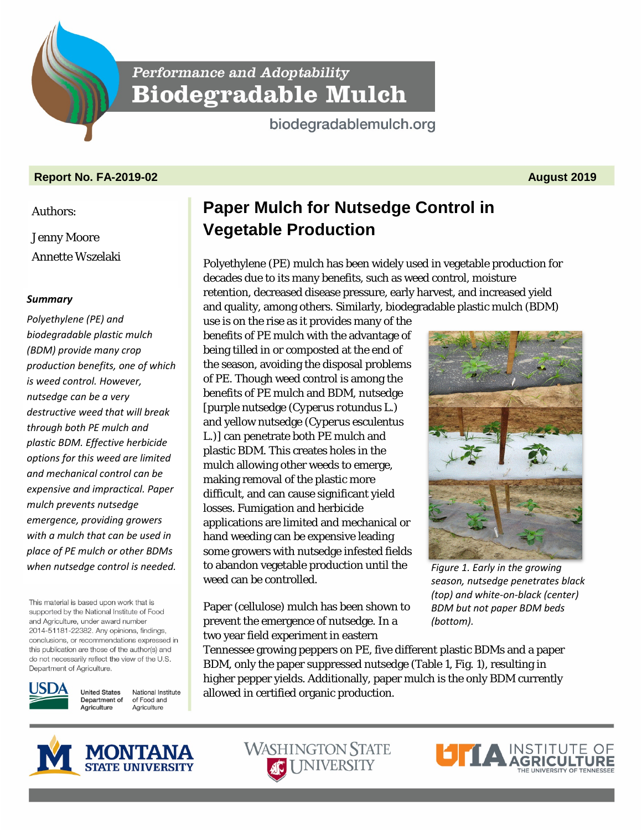**Performance and Adoptability Biodegradable Mulch** 

biodegradablemulch.org

## **Report No. FA-2019-02 August 2019**

Authors:

Jenny Moore Annette Wszelaki

### *Summary*

*Polyethylene (PE) and biodegradable plastic mulch (BDM) provide many crop production benefits, one of which is weed control. However, nutsedge can be a very destructive weed that will break through both PE mulch and plastic BDM. Effective herbicide options for this weed are limited and mechanical control can be expensive and impractical. Paper mulch prevents nutsedge emergence, providing growers with a mulch that can be used in place of PE mulch or other BDMs when nutsedge control is needed.*

This material is based upon work that is supported by the National Institute of Food and Agriculture, under award number 2014-51181-22382. Any opinions, findings, conclusions, or recommendations expressed in this publication are those of the author(s) and do not necessarily reflect the view of the U.S. Department of Agriculture.



**United States** National Institute Department of of Food and Agriculture Agriculture

# **Paper Mulch for Nutsedge Control in Vegetable Production**

Polyethylene (PE) mulch has been widely used in vegetable production for decades due to its many benefits, such as weed control, moisture retention, decreased disease pressure, early harvest, and increased yield and quality, among others. Similarly, biodegradable plastic mulch (BDM)

use is on the rise as it provides many of the benefits of PE mulch with the advantage of being tilled in or composted at the end of the season, avoiding the disposal problems of PE. Though weed control is among the benefits of PE mulch and BDM, nutsedge [purple nutsedge (*Cyperus rotundus* L.) and yellow nutsedge (*Cyperus esculentus* L.)] can penetrate both PE mulch and plastic BDM. This creates holes in the mulch allowing other weeds to emerge, making removal of the plastic more difficult, and can cause significant yield losses. Fumigation and herbicide applications are limited and mechanical or hand weeding can be expensive leading some growers with nutsedge infested fields to abandon vegetable production until the weed can be controlled.

Paper (cellulose) mulch has been shown to prevent the emergence of nutsedge. In a two year field experiment in eastern



*season, nutsedge penetrates black (top) and white-on-black (center) BDM but not paper BDM beds (bottom).* 

Tennessee growing peppers on PE, five different plastic BDMs and a paper BDM, only the paper suppressed nutsedge (Table 1, Fig. 1), resulting in higher pepper yields. Additionally, paper mulch is the only BDM currently allowed in certified organic production.



![](_page_0_Picture_19.jpeg)

![](_page_0_Picture_20.jpeg)